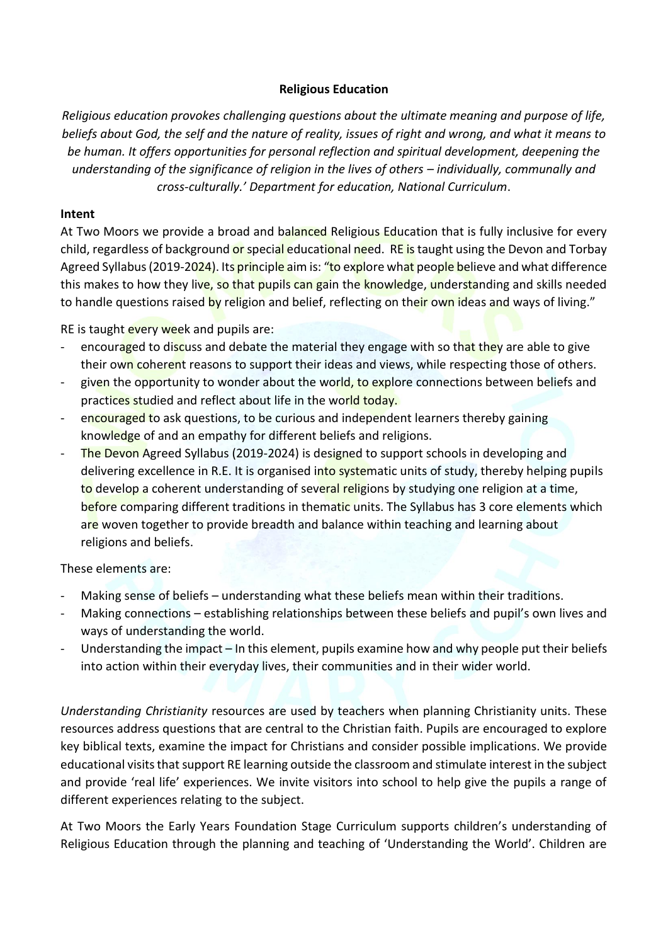## **Religious Education**

*Religious education provokes challenging questions about the ultimate meaning and purpose of life, beliefs about God, the self and the nature of reality, issues of right and wrong, and what it means to be human. It offers opportunities for personal reflection and spiritual development, deepening the understanding of the significance of religion in the lives of others – individually, communally and cross-culturally.' Department for education, National Curriculum*.

## **Intent**

At Two Moors we provide a broad and balanced Religious Education that is fully inclusive for every child, regardless of background or special educational need. RE is taught using the Devon and Torbay Agreed Syllabus (2019-2024). Its principle aim is: "to explore what people believe and what difference this makes to how they live, so that pupils can gain the knowledge, understanding and skills needed to handle questions raised by religion and belief, reflecting on their own ideas and ways of living."

RE is taught every week and pupils are:

- encouraged to discuss and debate the material they engage with so that they are able to give their own coherent reasons to support their ideas and views, while respecting those of others.
- given the opportunity to wonder about the world, to explore connections between beliefs and practices studied and reflect about life in the world today.
- encouraged to ask questions, to be curious and independent learners thereby gaining knowledge of and an empathy for different beliefs and religions.
- The Devon Agreed Syllabus (2019-2024) is designed to support schools in developing and delivering excellence in R.E. It is organised into systematic units of study, thereby helping pupils to develop a coherent understanding of several religions by studying one religion at a time, before comparing different traditions in thematic units. The Syllabus has 3 core elements which are woven together to provide breadth and balance within teaching and learning about religions and beliefs.

These elements are:

- Making sense of beliefs understanding what these beliefs mean within their traditions.
- Making connections establishing relationships between these beliefs and pupil's own lives and ways of understanding the world.
- Understanding the impact In this element, pupils examine how and why people put their beliefs into action within their everyday lives, their communities and in their wider world.

*Understanding Christianity* resources are used by teachers when planning Christianity units. These resources address questions that are central to the Christian faith. Pupils are encouraged to explore key biblical texts, examine the impact for Christians and consider possible implications. We provide educational visits that support RE learning outside the classroom and stimulate interest in the subject and provide 'real life' experiences. We invite visitors into school to help give the pupils a range of different experiences relating to the subject.

At Two Moors the Early Years Foundation Stage Curriculum supports children's understanding of Religious Education through the planning and teaching of 'Understanding the World'. Children are